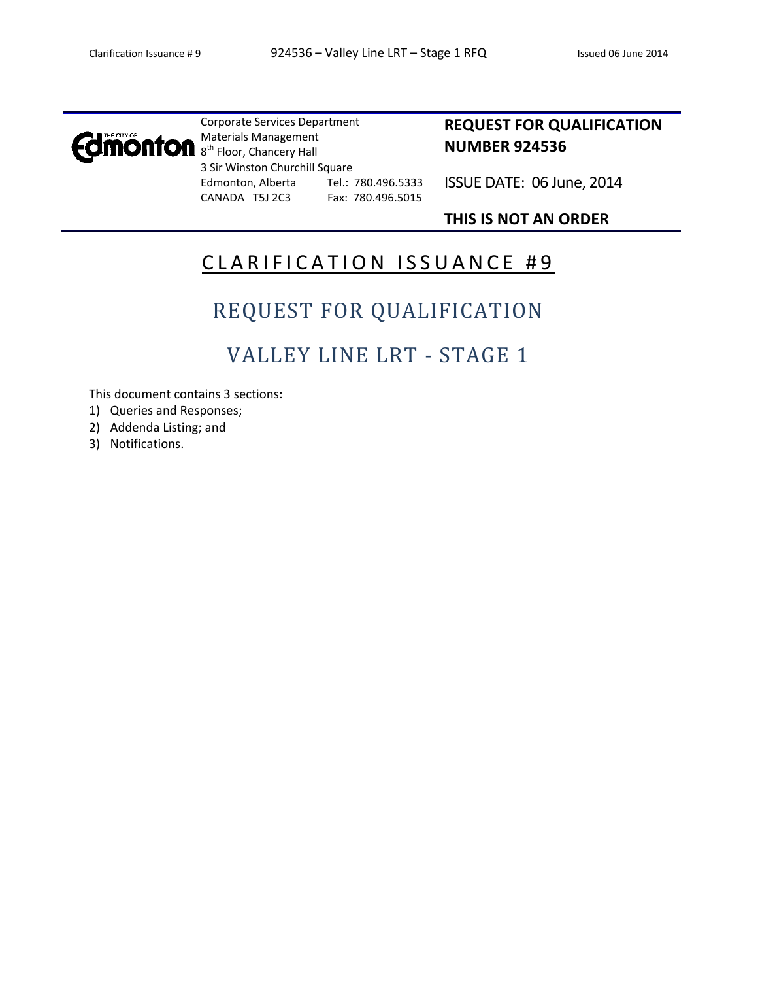

Corporate Services Department Materials Management 8<sup>th</sup> Floor, Chancery Hall 3 Sir Winston Churchill Square Edmonton, Alberta Tel.: 780.496.5333 CANADA T5J 2C3 Fax: 780.496.5015

### **REQUEST FOR QUALIFICATION NUMBER 924536**

ISSUE DATE: 06 June, 2014

### **THIS IS NOT AN ORDER**

## CLARIFICATION ISSUANCE #9

# REQUEST FOR QUALIFICATION

## VALLEY LINE LRT - STAGE 1

This document contains 3 sections:

- 1) Queries and Responses;
- 2) Addenda Listing; and
- 3) Notifications.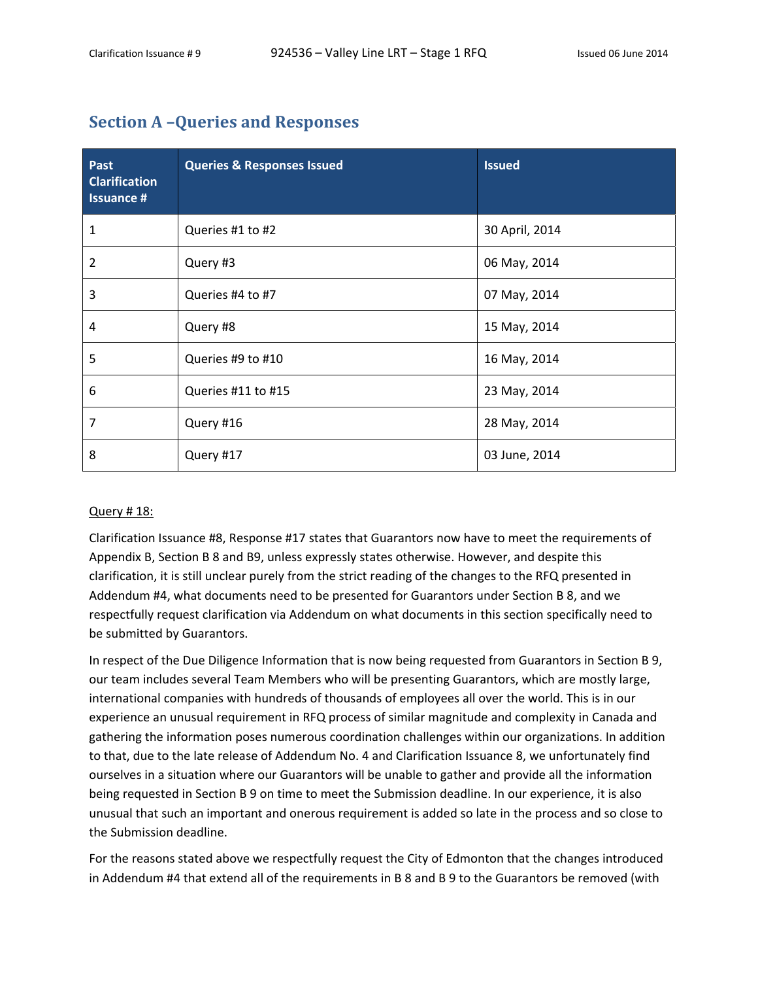### **Section A –Queries and Responses**

| Past<br><b>Clarification</b><br><b>Issuance #</b> | <b>Queries &amp; Responses Issued</b> | <b>Issued</b>  |
|---------------------------------------------------|---------------------------------------|----------------|
| 1                                                 | Queries #1 to #2                      | 30 April, 2014 |
| 2                                                 | Query #3                              | 06 May, 2014   |
| 3                                                 | Queries #4 to #7                      | 07 May, 2014   |
| 4                                                 | Query #8                              | 15 May, 2014   |
| 5                                                 | Queries #9 to #10                     | 16 May, 2014   |
| 6                                                 | Queries #11 to #15                    | 23 May, 2014   |
| 7                                                 | Query #16                             | 28 May, 2014   |
| 8                                                 | Query #17                             | 03 June, 2014  |

#### Query # 18:

Clarification Issuance #8, Response #17 states that Guarantors now have to meet the requirements of Appendix B, Section B 8 and B9, unless expressly states otherwise. However, and despite this clarification, it is still unclear purely from the strict reading of the changes to the RFQ presented in Addendum #4, what documents need to be presented for Guarantors under Section B 8, and we respectfully request clarification via Addendum on what documents in this section specifically need to be submitted by Guarantors.

In respect of the Due Diligence Information that is now being requested from Guarantors in Section B 9, our team includes several Team Members who will be presenting Guarantors, which are mostly large, international companies with hundreds of thousands of employees all over the world. This is in our experience an unusual requirement in RFQ process of similar magnitude and complexity in Canada and gathering the information poses numerous coordination challenges within our organizations. In addition to that, due to the late release of Addendum No. 4 and Clarification Issuance 8, we unfortunately find ourselves in a situation where our Guarantors will be unable to gather and provide all the information being requested in Section B 9 on time to meet the Submission deadline. In our experience, it is also unusual that such an important and onerous requirement is added so late in the process and so close to the Submission deadline.

For the reasons stated above we respectfully request the City of Edmonton that the changes introduced in Addendum #4 that extend all of the requirements in B 8 and B 9 to the Guarantors be removed (with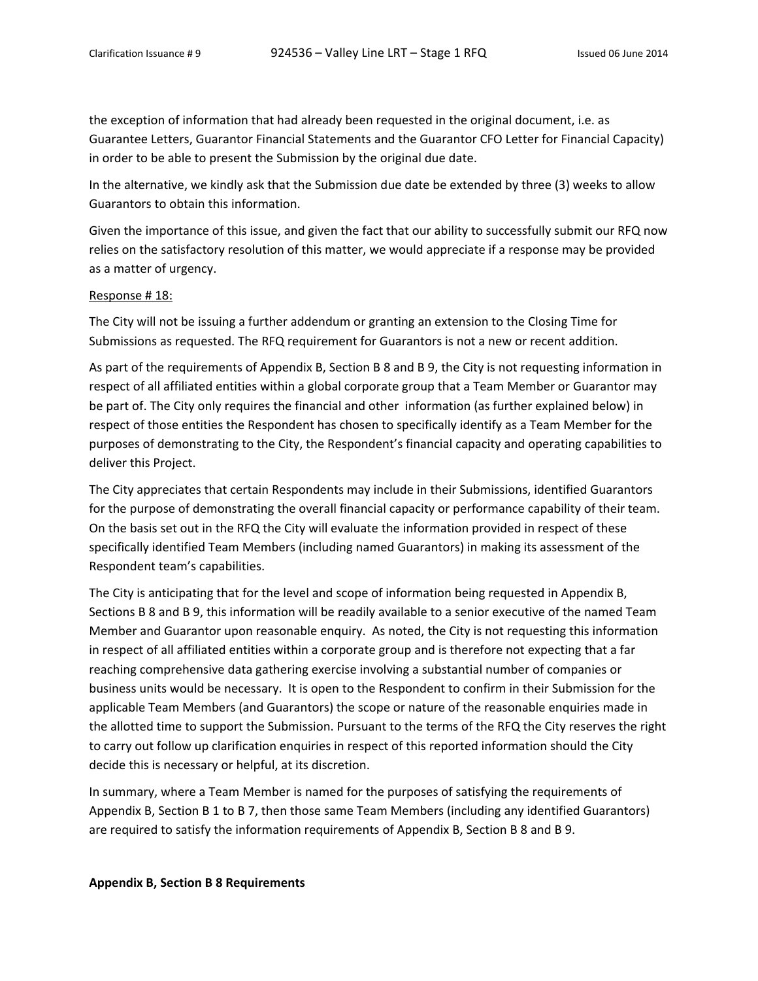the exception of information that had already been requested in the original document, i.e. as Guarantee Letters, Guarantor Financial Statements and the Guarantor CFO Letter for Financial Capacity) in order to be able to present the Submission by the original due date.

In the alternative, we kindly ask that the Submission due date be extended by three (3) weeks to allow Guarantors to obtain this information.

Given the importance of this issue, and given the fact that our ability to successfully submit our RFQ now relies on the satisfactory resolution of this matter, we would appreciate if a response may be provided as a matter of urgency.

#### Response # 18:

The City will not be issuing a further addendum or granting an extension to the Closing Time for Submissions as requested. The RFQ requirement for Guarantors is not a new or recent addition.

As part of the requirements of Appendix B, Section B 8 and B 9, the City is not requesting information in respect of all affiliated entities within a global corporate group that a Team Member or Guarantor may be part of. The City only requires the financial and other information (as further explained below) in respect of those entities the Respondent has chosen to specifically identify as a Team Member for the purposes of demonstrating to the City, the Respondent's financial capacity and operating capabilities to deliver this Project.

The City appreciates that certain Respondents may include in their Submissions, identified Guarantors for the purpose of demonstrating the overall financial capacity or performance capability of their team. On the basis set out in the RFQ the City will evaluate the information provided in respect of these specifically identified Team Members (including named Guarantors) in making its assessment of the Respondent team's capabilities.

The City is anticipating that for the level and scope of information being requested in Appendix B, Sections B 8 and B 9, this information will be readily available to a senior executive of the named Team Member and Guarantor upon reasonable enquiry. As noted, the City is not requesting this information in respect of all affiliated entities within a corporate group and is therefore not expecting that a far reaching comprehensive data gathering exercise involving a substantial number of companies or business units would be necessary. It is open to the Respondent to confirm in their Submission for the applicable Team Members (and Guarantors) the scope or nature of the reasonable enquiries made in the allotted time to support the Submission. Pursuant to the terms of the RFQ the City reserves the right to carry out follow up clarification enquiries in respect of this reported information should the City decide this is necessary or helpful, at its discretion.

In summary, where a Team Member is named for the purposes of satisfying the requirements of Appendix B, Section B 1 to B 7, then those same Team Members (including any identified Guarantors) are required to satisfy the information requirements of Appendix B, Section B 8 and B 9.

#### **Appendix B, Section B 8 Requirements**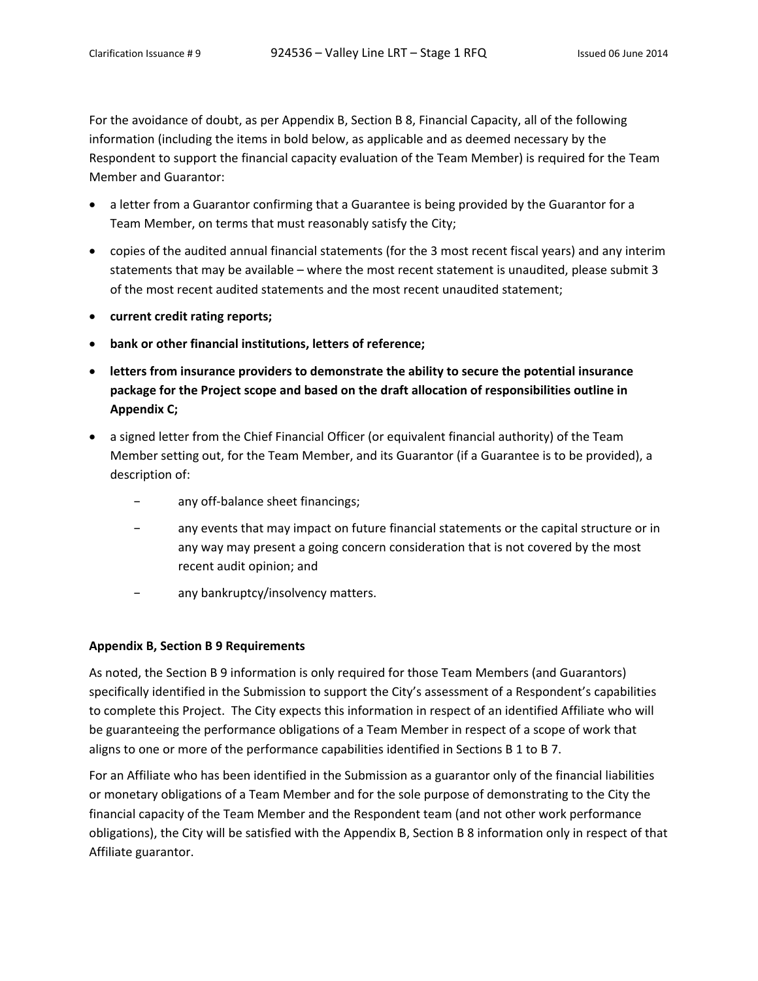For the avoidance of doubt, as per Appendix B, Section B 8, Financial Capacity, all of the following information (including the items in bold below, as applicable and as deemed necessary by the Respondent to support the financial capacity evaluation of the Team Member) is required for the Team Member and Guarantor:

- a letter from a Guarantor confirming that a Guarantee is being provided by the Guarantor for a Team Member, on terms that must reasonably satisfy the City;
- copies of the audited annual financial statements (for the 3 most recent fiscal years) and any interim statements that may be available – where the most recent statement is unaudited, please submit 3 of the most recent audited statements and the most recent unaudited statement;
- **current credit rating reports;**
- **bank or other financial institutions, letters of reference;**
- **letters from insurance providers to demonstrate the ability to secure the potential insurance package for the Project scope and based on the draft allocation of responsibilities outline in Appendix C;**
- a signed letter from the Chief Financial Officer (or equivalent financial authority) of the Team Member setting out, for the Team Member, and its Guarantor (if a Guarantee is to be provided), a description of:
	- − any off‐balance sheet financings;
	- − any events that may impact on future financial statements or the capital structure or in any way may present a going concern consideration that is not covered by the most recent audit opinion; and
	- − any bankruptcy/insolvency matters.

#### **Appendix B, Section B 9 Requirements**

As noted, the Section B 9 information is only required for those Team Members (and Guarantors) specifically identified in the Submission to support the City's assessment of a Respondent's capabilities to complete this Project. The City expects this information in respect of an identified Affiliate who will be guaranteeing the performance obligations of a Team Member in respect of a scope of work that aligns to one or more of the performance capabilities identified in Sections B 1 to B 7.

For an Affiliate who has been identified in the Submission as a guarantor only of the financial liabilities or monetary obligations of a Team Member and for the sole purpose of demonstrating to the City the financial capacity of the Team Member and the Respondent team (and not other work performance obligations), the City will be satisfied with the Appendix B, Section B 8 information only in respect of that Affiliate guarantor.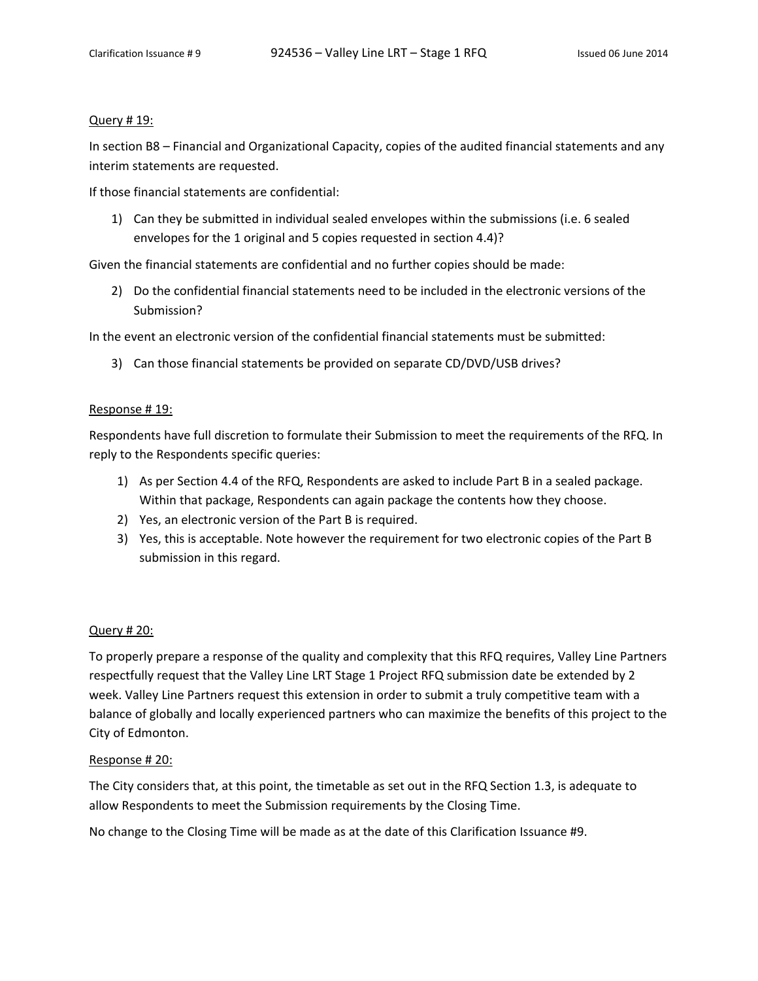#### Query # 19:

In section B8 – Financial and Organizational Capacity, copies of the audited financial statements and any interim statements are requested.

If those financial statements are confidential:

1) Can they be submitted in individual sealed envelopes within the submissions (i.e. 6 sealed envelopes for the 1 original and 5 copies requested in section 4.4)?

Given the financial statements are confidential and no further copies should be made:

2) Do the confidential financial statements need to be included in the electronic versions of the Submission?

In the event an electronic version of the confidential financial statements must be submitted:

3) Can those financial statements be provided on separate CD/DVD/USB drives?

#### Response # 19:

Respondents have full discretion to formulate their Submission to meet the requirements of the RFQ. In reply to the Respondents specific queries:

- 1) As per Section 4.4 of the RFQ, Respondents are asked to include Part B in a sealed package. Within that package, Respondents can again package the contents how they choose.
- 2) Yes, an electronic version of the Part B is required.
- 3) Yes, this is acceptable. Note however the requirement for two electronic copies of the Part B submission in this regard.

#### Query # 20:

To properly prepare a response of the quality and complexity that this RFQ requires, Valley Line Partners respectfully request that the Valley Line LRT Stage 1 Project RFQ submission date be extended by 2 week. Valley Line Partners request this extension in order to submit a truly competitive team with a balance of globally and locally experienced partners who can maximize the benefits of this project to the City of Edmonton.

#### Response # 20:

The City considers that, at this point, the timetable as set out in the RFQ Section 1.3, is adequate to allow Respondents to meet the Submission requirements by the Closing Time.

No change to the Closing Time will be made as at the date of this Clarification Issuance #9.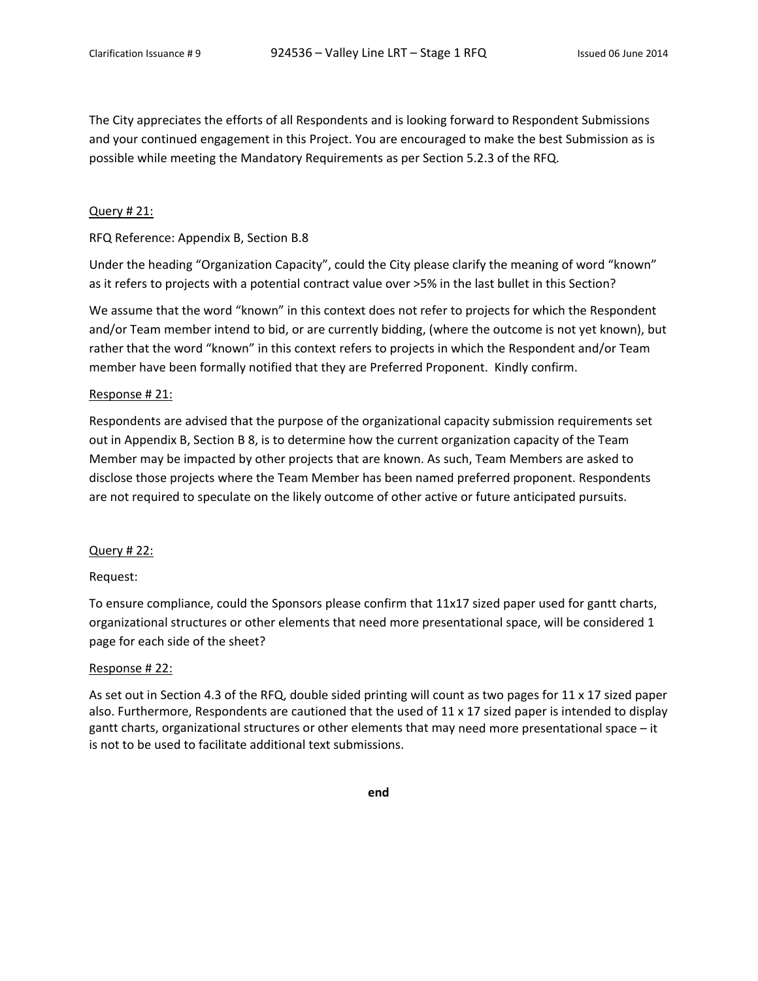The City appreciates the efforts of all Respondents and is looking forward to Respondent Submissions and your continued engagement in this Project. You are encouraged to make the best Submission as is possible while meeting the Mandatory Requirements as per Section 5.2.3 of the RFQ.

#### Query # 21:

#### RFQ Reference: Appendix B, Section B.8

Under the heading "Organization Capacity", could the City please clarify the meaning of word "known" as it refers to projects with a potential contract value over >5% in the last bullet in this Section?

We assume that the word "known" in this context does not refer to projects for which the Respondent and/or Team member intend to bid, or are currently bidding, (where the outcome is not yet known), but rather that the word "known" in this context refers to projects in which the Respondent and/or Team member have been formally notified that they are Preferred Proponent. Kindly confirm.

#### Response # 21:

Respondents are advised that the purpose of the organizational capacity submission requirements set out in Appendix B, Section B 8, is to determine how the current organization capacity of the Team Member may be impacted by other projects that are known. As such, Team Members are asked to disclose those projects where the Team Member has been named preferred proponent. Respondents are not required to speculate on the likely outcome of other active or future anticipated pursuits.

#### Query # 22:

#### Request:

To ensure compliance, could the Sponsors please confirm that 11x17 sized paper used for gantt charts, organizational structures or other elements that need more presentational space, will be considered 1 page for each side of the sheet?

#### Response # 22:

As set out in Section 4.3 of the RFQ, double sided printing will count as two pages for 11 x 17 sized paper also. Furthermore, Respondents are cautioned that the used of 11 x 17 sized paper is intended to display gantt charts, organizational structures or other elements that may need more presentational space – it is not to be used to facilitate additional text submissions.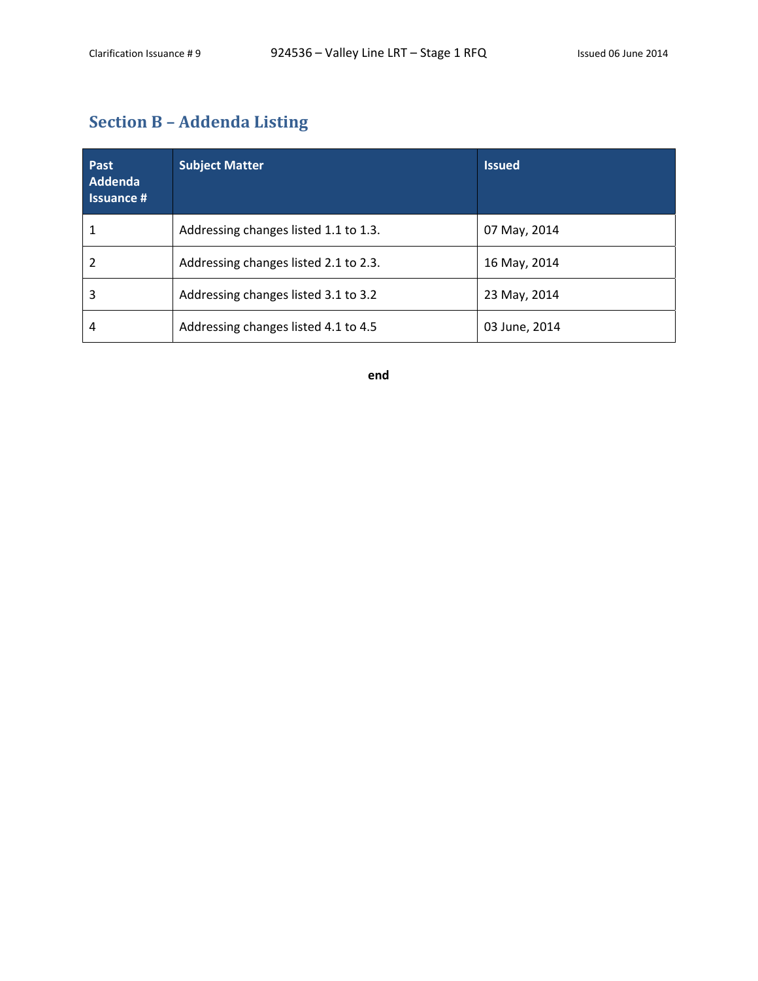## **Section B – Addenda Listing**

| <b>Past</b><br>Addenda<br><b>Issuance #</b> | <b>Subject Matter</b>                 | <b>Issued</b> |
|---------------------------------------------|---------------------------------------|---------------|
|                                             | Addressing changes listed 1.1 to 1.3. | 07 May, 2014  |
|                                             | Addressing changes listed 2.1 to 2.3. | 16 May, 2014  |
| 3                                           | Addressing changes listed 3.1 to 3.2  | 23 May, 2014  |
| 4                                           | Addressing changes listed 4.1 to 4.5  | 03 June, 2014 |

**end**